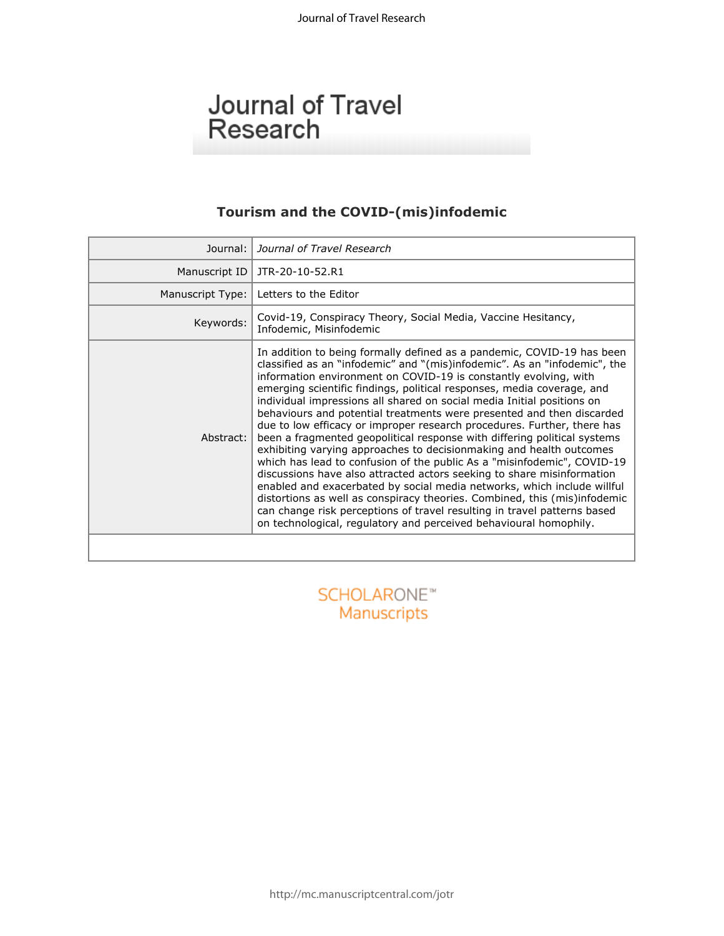# Journal of Travel Research

## **Tourism and the COVID-(mis)infodemic**

| Journal:         | Journal of Travel Research                                                                                                                                                                                                                                                                                                                                                                                                                                                                                                                                                                                                                                                                                                                                                                                                                                                                                                                                                                                                                                                                                                                       |
|------------------|--------------------------------------------------------------------------------------------------------------------------------------------------------------------------------------------------------------------------------------------------------------------------------------------------------------------------------------------------------------------------------------------------------------------------------------------------------------------------------------------------------------------------------------------------------------------------------------------------------------------------------------------------------------------------------------------------------------------------------------------------------------------------------------------------------------------------------------------------------------------------------------------------------------------------------------------------------------------------------------------------------------------------------------------------------------------------------------------------------------------------------------------------|
| Manuscript ID    | JTR-20-10-52.R1                                                                                                                                                                                                                                                                                                                                                                                                                                                                                                                                                                                                                                                                                                                                                                                                                                                                                                                                                                                                                                                                                                                                  |
| Manuscript Type: | Letters to the Editor                                                                                                                                                                                                                                                                                                                                                                                                                                                                                                                                                                                                                                                                                                                                                                                                                                                                                                                                                                                                                                                                                                                            |
| Keywords:        | Covid-19, Conspiracy Theory, Social Media, Vaccine Hesitancy,<br>Infodemic, Misinfodemic                                                                                                                                                                                                                                                                                                                                                                                                                                                                                                                                                                                                                                                                                                                                                                                                                                                                                                                                                                                                                                                         |
| Abstract:        | In addition to being formally defined as a pandemic, COVID-19 has been<br>classified as an "infodemic" and "(mis)infodemic". As an "infodemic", the<br>information environment on COVID-19 is constantly evolving, with<br>emerging scientific findings, political responses, media coverage, and<br>individual impressions all shared on social media Initial positions on<br>behaviours and potential treatments were presented and then discarded<br>due to low efficacy or improper research procedures. Further, there has<br>been a fragmented geopolitical response with differing political systems<br>exhibiting varying approaches to decisionmaking and health outcomes<br>which has lead to confusion of the public As a "misinfodemic", COVID-19<br>discussions have also attracted actors seeking to share misinformation<br>enabled and exacerbated by social media networks, which include willful<br>distortions as well as conspiracy theories. Combined, this (mis)infodemic<br>can change risk perceptions of travel resulting in travel patterns based<br>on technological, regulatory and perceived behavioural homophily. |
|                  |                                                                                                                                                                                                                                                                                                                                                                                                                                                                                                                                                                                                                                                                                                                                                                                                                                                                                                                                                                                                                                                                                                                                                  |
|                  |                                                                                                                                                                                                                                                                                                                                                                                                                                                                                                                                                                                                                                                                                                                                                                                                                                                                                                                                                                                                                                                                                                                                                  |
| SCHOLAROI        |                                                                                                                                                                                                                                                                                                                                                                                                                                                                                                                                                                                                                                                                                                                                                                                                                                                                                                                                                                                                                                                                                                                                                  |
| Manuccrinte      |                                                                                                                                                                                                                                                                                                                                                                                                                                                                                                                                                                                                                                                                                                                                                                                                                                                                                                                                                                                                                                                                                                                                                  |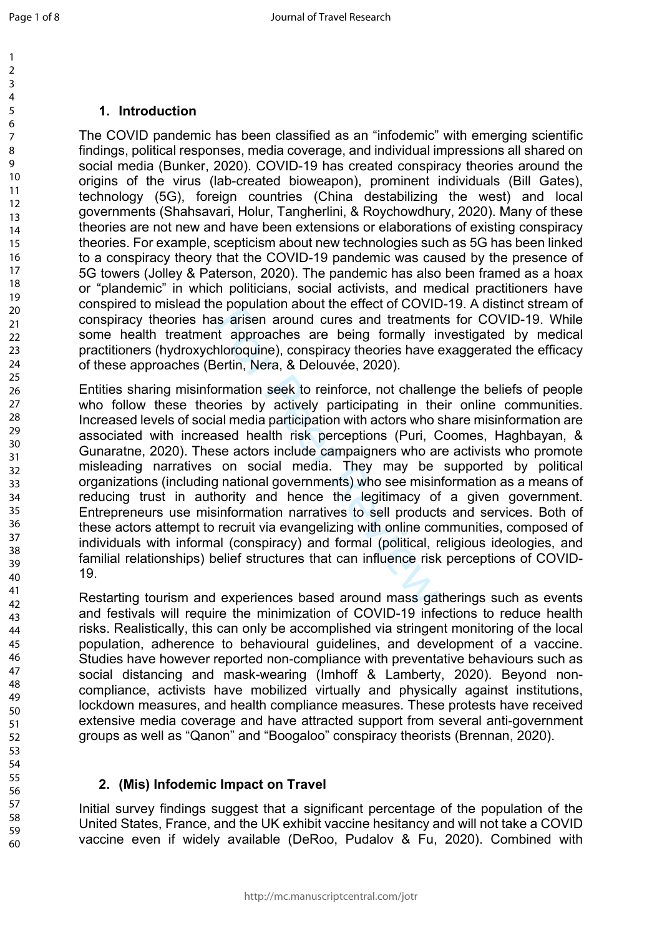59 60

## **1. Introduction**

The COVID pandemic has been classified as an "infodemic" with emerging scientific findings, political responses, media coverage, and individual impressions all shared on social media (Bunker, 2020). COVID-19 has created conspiracy theories around the origins of the virus (lab-created bioweapon), prominent individuals (Bill Gates), technology (5G), foreign countries (China destabilizing the west) and local governments (Shahsavari, Holur, Tangherlini, & Roychowdhury, 2020). Many of these theories are not new and have been extensions or elaborations of existing conspiracy theories. For example, scepticism about new technologies such as 5G has been linked to a conspiracy theory that the COVID-19 pandemic was caused by the presence of 5G towers (Jolley & Paterson, 2020). The pandemic has also been framed as a hoax or "plandemic" in which politicians, social activists, and medical practitioners have conspired to mislead the population about the effect of COVID-19. A distinct stream of conspiracy theories has arisen around cures and treatments for COVID-19. While some health treatment approaches are being formally investigated by medical practitioners (hydroxychloroquine), conspiracy theories have exaggerated the efficacy of these approaches (Bertin, Nera, & Delouvée, 2020).

is arisen around cures and treatment approaches are being formally in<br>hloroquine), conspiracy theories have electin, Nera, & Delouvée, 2020).<br>Domation seek to reinforce, not challen<br>ories by actively participating in the<br>i Entities sharing misinformation seek to reinforce, not challenge the beliefs of people who follow these theories by actively participating in their online communities. Increased levels of social media participation with actors who share misinformation are associated with increased health risk perceptions (Puri, Coomes, Haghbayan, & Gunaratne, 2020). These actors include campaigners who are activists who promote misleading narratives on social media. They may be supported by political organizations (including national governments) who see misinformation as a means of reducing trust in authority and hence the legitimacy of a given government. Entrepreneurs use misinformation narratives to sell products and services. Both of these actors attempt to recruit via evangelizing with online communities, composed of individuals with informal (conspiracy) and formal (political, religious ideologies, and familial relationships) belief structures that can influence risk perceptions of COVID-19.

Restarting tourism and experiences based around mass gatherings such as events and festivals will require the minimization of COVID-19 infections to reduce health risks. Realistically, this can only be accomplished via stringent monitoring of the local population, adherence to behavioural guidelines, and development of a vaccine. Studies have however reported non-compliance with preventative behaviours such as social distancing and mask-wearing (Imhoff & Lamberty, 2020). Beyond noncompliance, activists have mobilized virtually and physically against institutions, lockdown measures, and health compliance measures. These protests have received extensive media coverage and have attracted support from several anti-government groups as well as "Qanon" and "Boogaloo" conspiracy theorists (Brennan, 2020).

### **2. (Mis) Infodemic Impact on Travel**

Initial survey findings suggest that a significant percentage of the population of the United States, France, and the UK exhibit vaccine hesitancy and will not take a COVID vaccine even if widely available (DeRoo, Pudalov & Fu, 2020). Combined with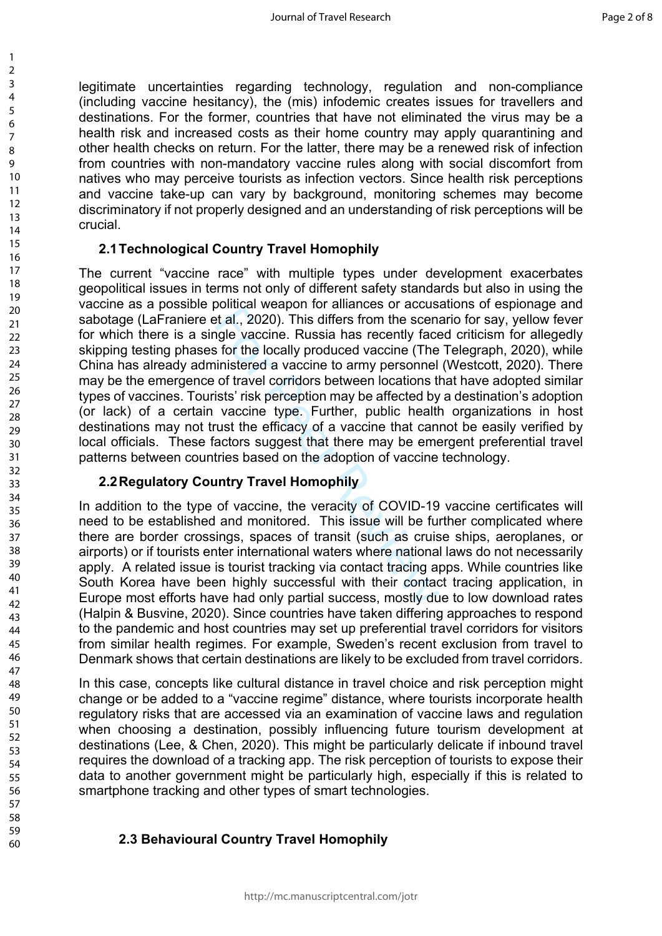legitimate uncertainties regarding technology, regulation and non-compliance (including vaccine hesitancy), the (mis) infodemic creates issues for travellers and destinations. For the former, countries that have not eliminated the virus may be a health risk and increased costs as their home country may apply quarantining and other health checks on return. For the latter, there may be a renewed risk of infection from countries with non-mandatory vaccine rules along with social discomfort from natives who may perceive tourists as infection vectors. Since health risk perceptions and vaccine take-up can vary by background, monitoring schemes may become discriminatory if not properly designed and an understanding of risk perceptions will be crucial.

### **2.1Technological Country Travel Homophily**

best al., 2020). This differs from the scenarios of accusation at al., 2020). This differs from the scenariogle vaccine. Russia has recently faces for the locally produced vaccine (The ininistered a vaccine to army personn The current "vaccine race" with multiple types under development exacerbates geopolitical issues in terms not only of different safety standards but also in using the vaccine as a possible political weapon for alliances or accusations of espionage and sabotage (LaFraniere et al., 2020). This differs from the scenario for say, yellow fever for which there is a single vaccine. Russia has recently faced criticism for allegedly skipping testing phases for the locally produced vaccine (The Telegraph, 2020), while China has already administered a vaccine to army personnel (Westcott, 2020). There may be the emergence of travel corridors between locations that have adopted similar types of vaccines. Tourists' risk perception may be affected by a destination's adoption (or lack) of a certain vaccine type. Further, public health organizations in host destinations may not trust the efficacy of a vaccine that cannot be easily verified by local officials. These factors suggest that there may be emergent preferential travel patterns between countries based on the adoption of vaccine technology.

## **2.2Regulatory Country Travel Homophily**

In addition to the type of vaccine, the veracity of COVID-19 vaccine certificates will need to be established and monitored. This issue will be further complicated where there are border crossings, spaces of transit (such as cruise ships, aeroplanes, or airports) or if tourists enter international waters where national laws do not necessarily apply. A related issue is tourist tracking via contact tracing apps. While countries like South Korea have been highly successful with their contact tracing application, in Europe most efforts have had only partial success, mostly due to low download rates (Halpin & Busvine, 2020). Since countries have taken differing approaches to respond to the pandemic and host countries may set up preferential travel corridors for visitors from similar health regimes. For example, Sweden's recent exclusion from travel to Denmark shows that certain destinations are likely to be excluded from travel corridors.

In this case, concepts like cultural distance in travel choice and risk perception might change or be added to a "vaccine regime" distance, where tourists incorporate health regulatory risks that are accessed via an examination of vaccine laws and regulation when choosing a destination, possibly influencing future tourism development at destinations (Lee, & Chen, 2020). This might be particularly delicate if inbound travel requires the download of a tracking app. The risk perception of tourists to expose their data to another government might be particularly high, especially if this is related to smartphone tracking and other types of smart technologies.

## **2.3 Behavioural Country Travel Homophily**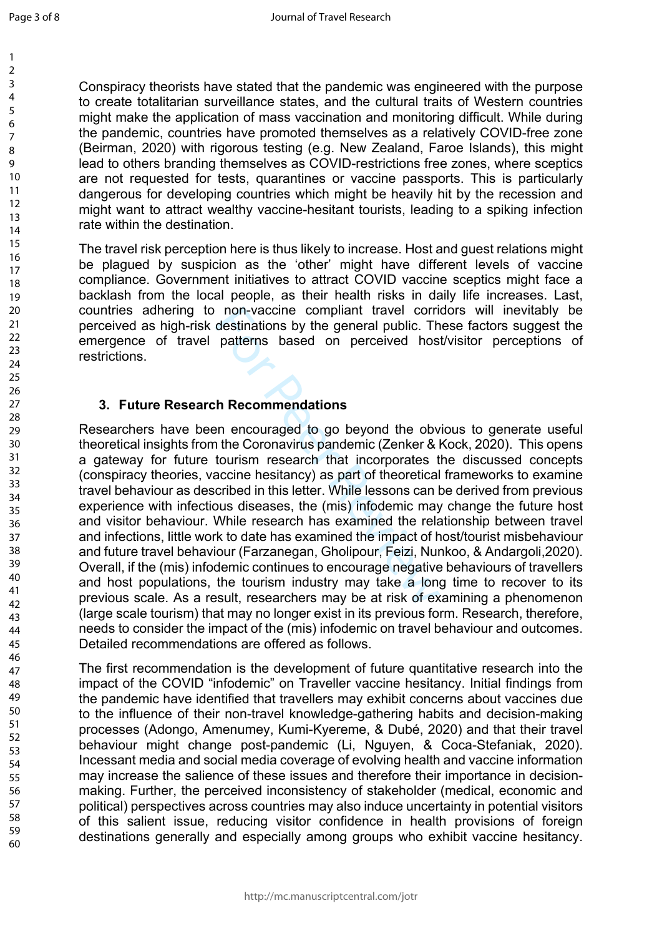59 60 Conspiracy theorists have stated that the pandemic was engineered with the purpose to create totalitarian surveillance states, and the cultural traits of Western countries might make the application of mass vaccination and monitoring difficult. While during the pandemic, countries have promoted themselves as a relatively COVID-free zone (Beirman, 2020) with rigorous testing (e.g. New Zealand, Faroe Islands), this might lead to others branding themselves as COVID-restrictions free zones, where sceptics are not requested for tests, quarantines or vaccine passports. This is particularly dangerous for developing countries which might be heavily hit by the recession and might want to attract wealthy vaccine-hesitant tourists, leading to a spiking infection rate within the destination.

The travel risk perception here is thus likely to increase. Host and guest relations might be plagued by suspicion as the 'other' might have different levels of vaccine compliance. Government initiatives to attract COVID vaccine sceptics might face a backlash from the local people, as their health risks in daily life increases. Last, countries adhering to non-vaccine compliant travel corridors will inevitably be perceived as high-risk destinations by the general public. These factors suggest the emergence of travel patterns based on perceived host/visitor perceptions of restrictions.

### **3. Future Research Recommendations**

non-vaccine compliant travel corri<br>destinations by the general public. Th<br>patterns based on perceived hos<br>patterns based on perceived hos<br>the patterns for perceived hos<br>the patterns encouraged to go beyond the obvior<br>touri Researchers have been encouraged to go beyond the obvious to generate useful theoretical insights from the Coronavirus pandemic (Zenker & Kock, 2020). This opens a gateway for future tourism research that incorporates the discussed concepts (conspiracy theories, vaccine hesitancy) as part of theoretical frameworks to examine travel behaviour as described in this letter. While lessons can be derived from previous experience with infectious diseases, the (mis) infodemic may change the future host and visitor behaviour. While research has examined the relationship between travel and infections, little work to date has examined the impact of host/tourist misbehaviour and future travel behaviour (Farzanegan, Gholipour, Feizi, Nunkoo, & Andargoli,2020). Overall, if the (mis) infodemic continues to encourage negative behaviours of travellers and host populations, the tourism industry may take a long time to recover to its previous scale. As a result, researchers may be at risk of examining a phenomenon (large scale tourism) that may no longer exist in its previous form. Research, therefore, needs to consider the impact of the (mis) infodemic on travel behaviour and outcomes. Detailed recommendations are offered as follows.

The first recommendation is the development of future quantitative research into the impact of the COVID "infodemic" on Traveller vaccine hesitancy. Initial findings from the pandemic have identified that travellers may exhibit concerns about vaccines due to the influence of their non-travel knowledge-gathering habits and decision-making processes (Adongo, Amenumey, Kumi-Kyereme, & Dubé, 2020) and that their travel behaviour might change post-pandemic (Li, Nguyen, & Coca-Stefaniak, 2020). Incessant media and social media coverage of evolving health and vaccine information may increase the salience of these issues and therefore their importance in decisionmaking. Further, the perceived inconsistency of stakeholder (medical, economic and political) perspectives across countries may also induce uncertainty in potential visitors of this salient issue, reducing visitor confidence in health provisions of foreign destinations generally and especially among groups who exhibit vaccine hesitancy.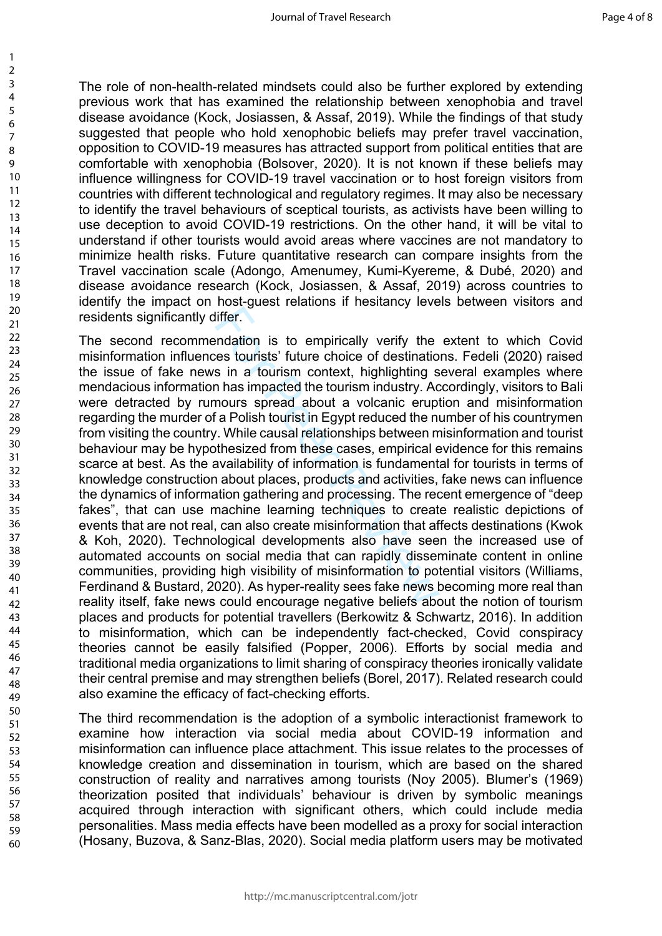The role of non-health-related mindsets could also be further explored by extending previous work that has examined the relationship between xenophobia and travel disease avoidance (Kock, Josiassen, & Assaf, 2019). While the findings of that study suggested that people who hold xenophobic beliefs may prefer travel vaccination, opposition to COVID-19 measures has attracted support from political entities that are comfortable with xenophobia (Bolsover, 2020). It is not known if these beliefs may influence willingness for COVID-19 travel vaccination or to host foreign visitors from countries with different technological and regulatory regimes. It may also be necessary to identify the travel behaviours of sceptical tourists, as activists have been willing to use deception to avoid COVID-19 restrictions. On the other hand, it will be vital to understand if other tourists would avoid areas where vaccines are not mandatory to minimize health risks. Future quantitative research can compare insights from the Travel vaccination scale (Adongo, Amenumey, Kumi-Kyereme, & Dubé, 2020) and disease avoidance research (Kock, Josiassen, & Assaf, 2019) across countries to identify the impact on host-guest relations if hesitancy levels between visitors and residents significantly differ.

liffer.<br>
Infer.<br>
Infer.<br>
Infer.<br>
Infer.<br>
In a tourism context, highlighting s<br>
in a tourism context, highlighting s<br>
In has impacted the tourism industry. Ac<br>
mours spread about a volcanic erupt<br>
fa Polish tourist in Egypt The second recommendation is to empirically verify the extent to which Covid misinformation influences tourists' future choice of destinations. Fedeli (2020) raised the issue of fake news in a tourism context, highlighting several examples where mendacious information has impacted the tourism industry. Accordingly, visitors to Bali were detracted by rumours spread about a volcanic eruption and misinformation regarding the murder of a Polish tourist in Egypt reduced the number of his countrymen from visiting the country. While causal relationships between misinformation and tourist behaviour may be hypothesized from these cases, empirical evidence for this remains scarce at best. As the availability of information is fundamental for tourists in terms of knowledge construction about places, products and activities, fake news can influence the dynamics of information gathering and processing. The recent emergence of "deep fakes", that can use machine learning techniques to create realistic depictions of events that are not real, can also create misinformation that affects destinations (Kwok & Koh, 2020). Technological developments also have seen the increased use of automated accounts on social media that can rapidly disseminate content in online communities, providing high visibility of misinformation to potential visitors (Williams, Ferdinand & Bustard, 2020). As hyper-reality sees fake news becoming more real than reality itself, fake news could encourage negative beliefs about the notion of tourism places and products for potential travellers (Berkowitz & Schwartz, 2016). In addition to misinformation, which can be independently fact-checked, Covid conspiracy theories cannot be easily falsified (Popper, 2006). Efforts by social media and traditional media organizations to limit sharing of conspiracy theories ironically validate their central premise and may strengthen beliefs (Borel, 2017). Related research could also examine the efficacy of fact-checking efforts.

The third recommendation is the adoption of a symbolic interactionist framework to examine how interaction via social media about COVID-19 information and misinformation can influence place attachment. This issue relates to the processes of knowledge creation and dissemination in tourism, which are based on the shared construction of reality and narratives among tourists (Noy 2005). Blumer's (1969) theorization posited that individuals' behaviour is driven by symbolic meanings acquired through interaction with significant others, which could include media personalities. Mass media effects have been modelled as a proxy for social interaction (Hosany, Buzova, & Sanz-Blas, 2020). Social media platform users may be motivated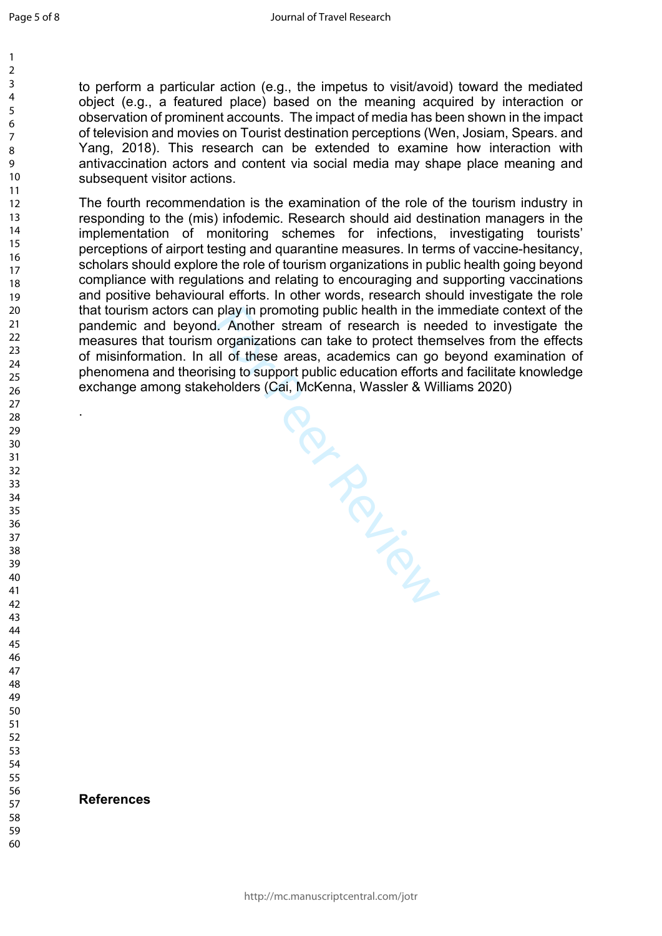.

to perform a particular action (e.g., the impetus to visit/avoid) toward the mediated object (e.g., a featured place) based on the meaning acquired by interaction or observation of prominent accounts. The impact of media has been shown in the impact of television and movies on Tourist destination perceptions (Wen, Josiam, Spears. and Yang, 2018). This research can be extended to examine how interaction with antivaccination actors and content via social media may shape place meaning and subsequent visitor actions.

The fourth recommendation is the examination of the role of the tourism industry in responding to the (mis) infodemic. Research should aid destination managers in the implementation of monitoring schemes for infections, investigating tourists' perceptions of airport testing and quarantine measures. In terms of vaccine-hesitancy, scholars should explore the role of tourism organizations in public health going beyond compliance with regulations and relating to encouraging and supporting vaccinations and positive behavioural efforts. In other words, research should investigate the role that tourism actors can play in promoting public health in the immediate context of the pandemic and beyond. Another stream of research is needed to investigate the measures that tourism organizations can take to protect themselves from the effects of misinformation. In all of these areas, academics can go beyond examination of phenomena and theorising to support public education efforts and facilitate knowledge exchange among stakeholders (Cai, McKenna, Wassler & Williams 2020)

**For Primer** 

#### **References**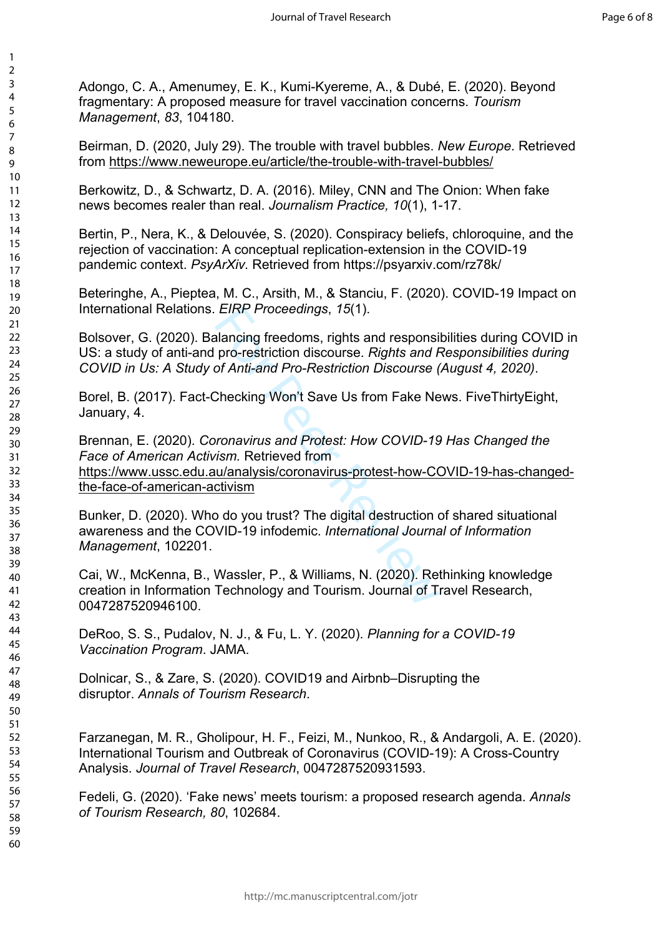Adongo, C. A., Amenumey, E. K., Kumi-Kyereme, A., & Dubé, E. (2020). Beyond fragmentary: A proposed measure for travel vaccination concerns. *Tourism Management*, *83*, 104180.

Beirman, D. (2020, July 29). The trouble with travel bubbles. *New Europe*. Retrieved from<https://www.neweurope.eu/article/the-trouble-with-travel-bubbles/>

Berkowitz, D., & Schwartz, D. A. (2016). Miley, CNN and The Onion: When fake news becomes realer than real. *Journalism Practice, 10*(1), 1-17.

Bertin, P., Nera, K., & Delouvée, S. (2020). Conspiracy beliefs, chloroquine, and the rejection of vaccination: A conceptual replication-extension in the COVID-19 pandemic context. *PsyArXiv.* Retrieved from https://psyarxiv.com/rz78k/

Beteringhe, A., Pieptea, M. C., Arsith, M., & Stanciu, F. (2020). COVID-19 Impact on International Relations. *EIRP Proceedings*, *15*(1).

Bolsover, G. (2020). Balancing freedoms, rights and responsibilities during COVID in US: a study of anti-and pro-restriction discourse. *Rights and Responsibilities during COVID in Us: A Study of Anti-and Pro-Restriction Discourse (August 4, 2020)*.

Borel, B. (2017). Fact-Checking Won't Save Us from Fake News. FiveThirtyEight, January, 4.

EIRP Proceedings, 15(1).<br>
alancing freedoms, rights and responsi<br>
pro-restriction discourse. Rights and F<br>
of Anti-and Pro-Restriction Discourse (<br>
Checking Won't Save Us from Fake Ne<br>
pronavirus and Protest: How COVID-19<br> Brennan, E. (2020). *Coronavirus and Protest: How COVID-19 Has Changed the Face of American Activism.* Retrieved from https://www.ussc.edu.au/analysis/coronavirus-protest-how-COVID-19-has-changedthe-face-of-american-activism

Bunker, D. (2020). Who do you trust? The digital destruction of shared situational awareness and the COVID-19 infodemic. *International Journal of Information Management*, 102201.

Cai, W., McKenna, B., Wassler, P., & Williams, N. (2020). Rethinking knowledge creation in Information Technology and Tourism. Journal of Travel Research, 0047287520946100.

DeRoo, S. S., Pudalov, N. J., & Fu, L. Y. (2020). *Planning for a COVID-19 Vaccination Program*. JAMA.

Dolnicar, S., & Zare, S. (2020). COVID19 and Airbnb–Disrupting the disruptor. *Annals of Tourism Research*.

Farzanegan, M. R., Gholipour, H. F., Feizi, M., Nunkoo, R., & Andargoli, A. E. (2020). International Tourism and Outbreak of Coronavirus (COVID-19): A Cross-Country Analysis. *Journal of Travel Research*, 0047287520931593.

Fedeli, G. (2020). 'Fake news' meets tourism: a proposed research agenda. *Annals of Tourism Research, 80*, 102684.

1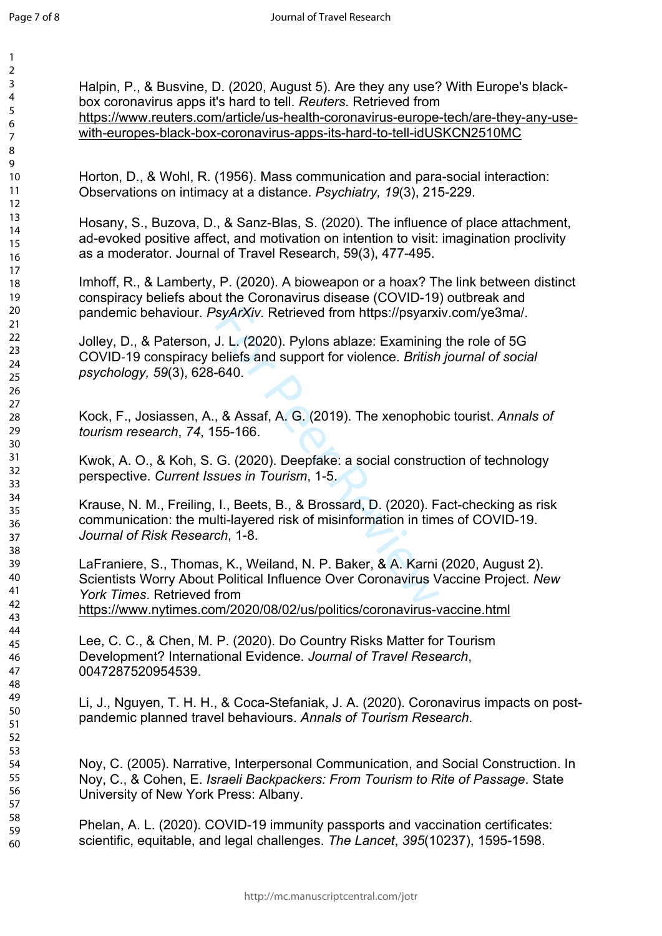$\mathbf{1}$ 

| 1                                         |
|-------------------------------------------|
| 2                                         |
| 3                                         |
| 4                                         |
| 5                                         |
| 6                                         |
|                                           |
| 8                                         |
| d<br>)                                    |
| 10                                        |
|                                           |
| 1<br>$\mathbf{1}$                         |
| $\mathbf{1}$<br>C                         |
| $\overline{1}$<br>3                       |
| 1<br>4                                    |
| 15                                        |
| 16                                        |
| 1                                         |
| 18                                        |
| 19                                        |
| 20                                        |
| $\overline{21}$                           |
| $\overline{2}$<br>$\overline{2}$          |
| $\overline{2}$<br>$\overline{\mathbf{3}}$ |
| 24                                        |
| 25                                        |
|                                           |
| $\frac{26}{5}$                            |
| $^{27}$                                   |
| $\frac{28}{3}$                            |
| 29                                        |
| 30                                        |
| $\overline{\textbf{3}}$                   |
| $\overline{\mathbf{3}}$<br>$\overline{2}$ |
| $\overline{\mathbf{3}}$<br>ξ              |
| 3.<br>4                                   |
| 35                                        |
| 36                                        |
|                                           |
| 37<br>٤٤                                  |
| י                                         |
| 39                                        |
| 40                                        |
| 41                                        |
| 42                                        |
| $\overline{4}$<br>ξ                       |
| 44                                        |
| 45                                        |
| 46                                        |
| 47                                        |
| 48                                        |
| 49                                        |
| 50                                        |
| 51                                        |
| 5.<br>$\overline{c}$                      |
|                                           |
| 5.<br>ξ                                   |
| 54                                        |
| 55                                        |
| 56                                        |
| 57                                        |
| 58                                        |
| 59                                        |
| 60                                        |

SyArXiv. Retrieved from https://psyarxi<br>
J. L. (2020). Pylons ablaze: Examining<br>
beliefs and support for violence. *British*<br>
-640.<br>
8. & Assaf, A. G. (2019). The xenophob<br>
55-166.<br>
G. (2020). Deepfake: a social construcsu Halpin, P., & Busvine, D. (2020, August 5). Are they any use? With Europe's blackbox coronavirus apps it's hard to tell. *Reuters*. Retrieved from [https://www.reuters.com/article/us-health-coronavirus-europe-tech/are-they-any-use](https://www.reuters.com/article/us-health-coronavirus-europe-tech/are-they-any-use-with-europes-black-box-coronavirus-apps-its-hard-to-tell-idUSKCN2510MC)[with-europes-black-box-coronavirus-apps-its-hard-to-tell-idUSKCN2510MC](https://www.reuters.com/article/us-health-coronavirus-europe-tech/are-they-any-use-with-europes-black-box-coronavirus-apps-its-hard-to-tell-idUSKCN2510MC) Horton, D., & Wohl, R. (1956). Mass communication and para-social interaction: Observations on intimacy at a distance. *Psychiatry, 19*(3), 215-229. Hosany, S., Buzova, D., & Sanz-Blas, S. (2020). The influence of place attachment, ad-evoked positive affect, and motivation on intention to visit: imagination proclivity as a moderator. Journal of Travel Research, 59(3), 477-495. Imhoff, R., & Lamberty, P. (2020). A bioweapon or a hoax? The link between distinct conspiracy beliefs about the Coronavirus disease (COVID-19) outbreak and pandemic behaviour. *PsyArXiv*. Retrieved from https://psyarxiv.com/ye3ma/. Jolley, D., & Paterson, J. L. (2020). Pylons ablaze: Examining the role of 5G COVID ‐19 conspiracy beliefs and support for violence. *British journal of social psychology, 59*(3), 628-640. Kock, F., Josiassen, A., & Assaf, A. G. (2019). The xenophobic tourist. *Annals of tourism research*, *74*, 155-166. Kwok, A. O., & Koh, S. G. (2020). Deepfake: a social construction of technology perspective. *Current Issues in Tourism*, 1-5. Krause, N. M., Freiling, I., Beets, B., & Brossard, D. (2020). Fact-checking as risk communication: the multi-layered risk of misinformation in times of COVID-19. *Journal of Risk Research*, 1-8. LaFraniere, S., Thomas, K., Weiland, N. P. Baker, & A. Karni (2020, August 2). Scientists Worry About Political Influence Over Coronavirus Vaccine Project. *New York Times*. Retrieved from <https://www.nytimes.com/2020/08/02/us/politics/coronavirus-vaccine.html> Lee, C. C., & Chen, M. P. (2020). Do Country Risks Matter for Tourism Development? International Evidence. *Journal of Travel Research*, 0047287520954539. Li, J., Nguyen, T. H. H., & Coca-Stefaniak, J. A. (2020). Coronavirus impacts on postpandemic planned travel behaviours. *Annals of Tourism Research*. Noy, C. (2005). Narrative, Interpersonal Communication, and Social Construction. In Noy, C., & Cohen, E. *Israeli Backpackers: From Tourism to Rite of Passage*. State University of New York Press: Albany. Phelan, A. L. (2020). COVID-19 immunity passports and vaccination certificates: scientific, equitable, and legal challenges. *The Lancet*, *395*(10237), 1595-1598.